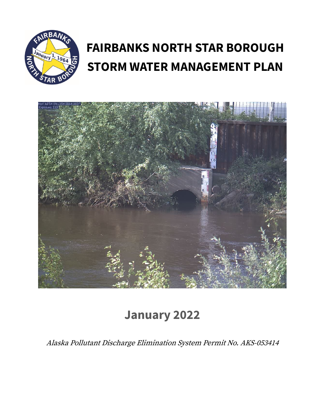

# **FAIRBANKS NORTH STAR BOROUGH STORM WATER MANAGEMENT PLAN**



# **January 2022**

Alaska Pollutant Discharge Elimination System Permit No. AKS-053414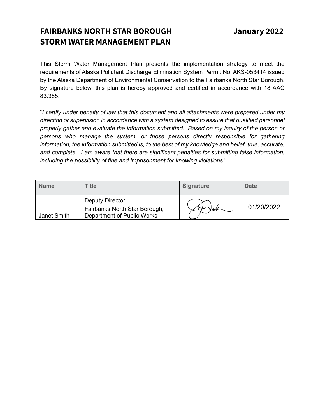# **FAIRBANKS NORTH STAR BOROUGH January 2022 STORM WATER MANAGEMENT PLAN**

This Storm Water Management Plan presents the implementation strategy to meet the requirements of Alaska Pollutant Discharge Elimination System Permit No. AKS-053414 issued by the Alaska Department of Environmental Conservation to the Fairbanks North Star Borough. By signature below, this plan is hereby approved and certified in accordance with 18 AAC 83.385.

"*I certify under penalty of law that this document and all attachments were prepared under my direction or supervision in accordance with a system designed to assure that qualified personnel properly gather and evaluate the information submitted. Based on my inquiry of the person or persons who manage the system, or those persons directly responsible for gathering information, the information submitted is, to the best of my knowledge and belief, true, accurate, and complete. I am aware that there are significant penalties for submitting false information, including the possibility of fine and imprisonment for knowing violations.*"

| <b>Name</b> | <b>Title</b>                                                                   | <b>Signature</b> | <b>Date</b> |
|-------------|--------------------------------------------------------------------------------|------------------|-------------|
| Janet Smith | Deputy Director<br>Fairbanks North Star Borough,<br>Department of Public Works | ww               | 01/20/2022  |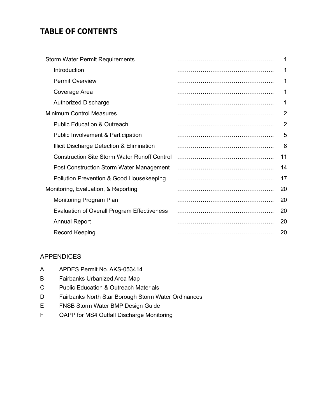## **TABLE OF CONTENTS**

| <b>Storm Water Permit Requirements</b>              | 1              |
|-----------------------------------------------------|----------------|
| Introduction                                        |                |
| <b>Permit Overview</b>                              | 1              |
| Coverage Area                                       |                |
| <b>Authorized Discharge</b>                         |                |
| <b>Minimum Control Measures</b>                     | 2              |
| <b>Public Education &amp; Outreach</b>              | $\overline{2}$ |
| <b>Public Involvement &amp; Participation</b>       | 5              |
| Illicit Discharge Detection & Elimination           | 8              |
| <b>Construction Site Storm Water Runoff Control</b> | 11             |
| Post Construction Storm Water Management            | 14             |
| Pollution Prevention & Good Housekeeping            | 17             |
| Monitoring, Evaluation, & Reporting                 | 20             |
| Monitoring Program Plan                             | 20             |
| Evaluation of Overall Program Effectiveness         | 20             |
| <b>Annual Report</b>                                | 20             |
| <b>Record Keeping</b>                               | 20             |

## APPENDICES

- A APDES Permit No. AKS-053414
- B Fairbanks Urbanized Area Map
- C Public Education & Outreach Materials
- D Fairbanks North Star Borough Storm Water Ordinances
- E FNSB Storm Water BMP Design Guide
- F QAPP for MS4 Outfall Discharge Monitoring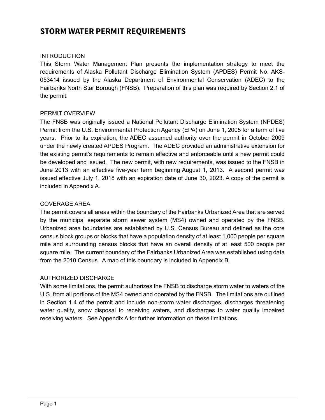## **STORM WATER PERMIT REQUIREMENTS**

#### **INTRODUCTION**

This Storm Water Management Plan presents the implementation strategy to meet the requirements of Alaska Pollutant Discharge Elimination System (APDES) Permit No. AKS-053414 issued by the Alaska Department of Environmental Conservation (ADEC) to the Fairbanks North Star Borough (FNSB). Preparation of this plan was required by Section 2.1 of the permit.

#### PERMIT OVERVIEW

The FNSB was originally issued a National Pollutant Discharge Elimination System (NPDES) Permit from the U.S. Environmental Protection Agency (EPA) on June 1, 2005 for a term of five years. Prior to its expiration, the ADEC assumed authority over the permit in October 2009 under the newly created APDES Program. The ADEC provided an administrative extension for the existing permit's requirements to remain effective and enforceable until a new permit could be developed and issued. The new permit, with new requirements, was issued to the FNSB in June 2013 with an effective five-year term beginning August 1, 2013. A second permit was issued effective July 1, 2018 with an expiration date of June 30, 2023. A copy of the permit is included in Appendix A.

#### COVERAGE AREA

The permit covers all areas within the boundary of the Fairbanks Urbanized Area that are served by the municipal separate storm sewer system (MS4) owned and operated by the FNSB. Urbanized area boundaries are established by U.S. Census Bureau and defined as the core census block groups or blocks that have a population density of at least 1,000 people per square mile and surrounding census blocks that have an overall density of at least 500 people per square mile. The current boundary of the Fairbanks Urbanized Area was established using data from the 2010 Census. A map of this boundary is included in Appendix B.

## AUTHORIZED DISCHARGE

With some limitations, the permit authorizes the FNSB to discharge storm water to waters of the U.S. from all portions of the MS4 owned and operated by the FNSB. The limitations are outlined in Section 1.4 of the permit and include non-storm water discharges, discharges threatening water quality, snow disposal to receiving waters, and discharges to water quality impaired receiving waters. See Appendix A for further information on these limitations.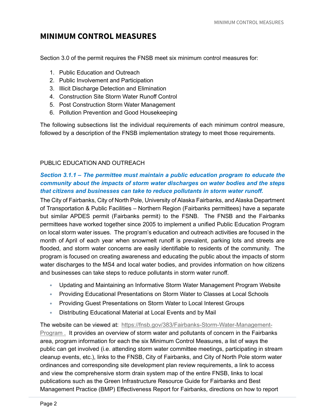## **MINIMUM CONTROL MEASURES**

Section 3.0 of the permit requires the FNSB meet six minimum control measures for:

- 1. Public Education and Outreach
- 2. Public Involvement and Participation
- 3. Illicit Discharge Detection and Elimination
- 4. Construction Site Storm Water Runoff Control
- 5. Post Construction Storm Water Management
- 6. Pollution Prevention and Good Housekeeping

The following subsections list the individual requirements of each minimum control measure, followed by a description of the FNSB implementation strategy to meet those requirements.

#### PUBLIC EDUCATION AND OUTREACH

## *Section 3.1.1 – The permittee must maintain a public education program to educate the community about the impacts of storm water discharges on water bodies and the steps that citizens and businesses can take to reduce pollutants in storm water runoff.*

The City of Fairbanks, City of North Pole, University of Alaska Fairbanks, and Alaska Department of Transportation & Public Facilities – Northern Region (Fairbanks permittees) have a separate but similar APDES permit (Fairbanks permit) to the FSNB. The FNSB and the Fairbanks permittees have worked together since 2005 to implement a unified Public Education Program on local storm water issues. The program's education and outreach activities are focused in the month of April of each year when snowmelt runoff is prevalent, parking lots and streets are flooded, and storm water concerns are easily identifiable to residents of the community. The program is focused on creating awareness and educating the public about the impacts of storm water discharges to the MS4 and local water bodies, and provides information on how citizens and businesses can take steps to reduce pollutants in storm water runoff.

- Updating and Maintaining an Informative Storm Water Management Program Website
- Providing Educational Presentations on Storm Water to Classes at Local Schools
- Providing Guest Presentations on Storm Water to Local Interest Groups
- Distributing Educational Material at Local Events and by Mail

The website can be viewed at: https://fnsb.gov/383/Fairbanks-Storm-Water-Management-Program . It provides an overview of storm water and pollutants of concern in the Fairbanks area, program information for each the six Minimum Control Measures, a list of ways the public can get involved (i.e. attending storm water committee meetings, participating in stream cleanup events, etc.), links to the FNSB, City of Fairbanks, and City of North Pole storm water ordinances and corresponding site development plan review requirements, a link to access and view the comprehensive storm drain system map of the entire FNSB, links to local publications such as the Green Infrastructure Resource Guide for Fairbanks and Best Management Practice (BMP) Effectiveness Report for Fairbanks, directions on how to report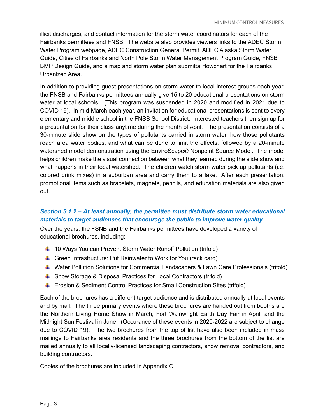illicit discharges, and contact information for the storm water coordinators for each of the Fairbanks permittees and FNSB. The website also provides viewers links to the ADEC Storm Water Program webpage, ADEC Construction General Permit, ADEC Alaska Storm Water Guide, Cities of Fairbanks and North Pole Storm Water Management Program Guide, FNSB BMP Design Guide, and a map and storm water plan submittal flowchart for the Fairbanks Urbanized Area.

In addition to providing guest presentations on storm water to local interest groups each year, the FNSB and Fairbanks permittees annually give 15 to 20 educational presentations on storm water at local schools. (This program was suspended in 2020 and modified in 2021 due to COVID 19). In mid-March each year, an invitation for educational presentations is sent to every elementary and middle school in the FNSB School District. Interested teachers then sign up for a presentation for their class anytime during the month of April. The presentation consists of a 30-minute slide show on the types of pollutants carried in storm water, how those pollutants reach area water bodies, and what can be done to limit the effects, followed by a 20-minute watershed model demonstration using the EnviroScape® Nonpoint Source Model. The model helps children make the visual connection between what they learned during the slide show and what happens in their local watershed. The children watch storm water pick up pollutants (i.e. colored drink mixes) in a suburban area and carry them to a lake. After each presentation, promotional items such as bracelets, magnets, pencils, and education materials are also given out.

## *Section 3.1.2 – At least annually, the permittee must distribute storm water educational materials to target audiences that encourage the public to improve water quality.*

Over the years, the FSNB and the Fairbanks permittees have developed a variety of educational brochures, including:

- $+$  10 Ways You can Prevent Storm Water Runoff Pollution (trifold)
- $\div$  Green Infrastructure: Put Rainwater to Work for You (rack card)
- Water Pollution Solutions for Commercial Landscapers & Lawn Care Professionals (trifold)
- Snow Storage & Disposal Practices for Local Contractors (trifold)
- Erosion & Sediment Control Practices for Small Construction Sites (trifold)

Each of the brochures has a different target audience and is distributed annually at local events and by mail. The three primary events where these brochures are handed out from booths are the Northern Living Home Show in March, Fort Wainwright Earth Day Fair in April, and the Midnight Sun Festival in June. (Occurance of these events in 2020-2022 are subject to change due to COVID 19). The two brochures from the top of list have also been included in mass mailings to Fairbanks area residents and the three brochures from the bottom of the list are mailed annually to all locally-licensed landscaping contractors, snow removal contractors, and building contractors.

Copies of the brochures are included in Appendix C.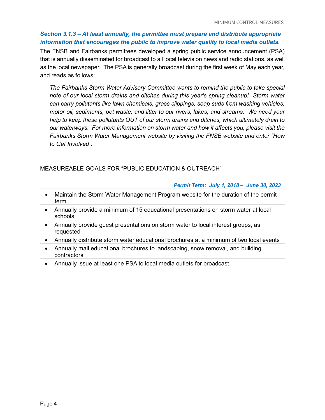## *Section 3.1.3 – At least annually, the permittee must prepare and distribute appropriate information that encourages the public to improve water quality to local media outlets.*

The FNSB and Fairbanks permittees developed a spring public service announcement (PSA) that is annually disseminated for broadcast to all local television news and radio stations, as well as the local newspaper. The PSA is generally broadcast during the first week of May each year, and reads as follows:

*The Fairbanks Storm Water Advisory Committee wants to remind the public to take special note of our local storm drains and ditches during this year's spring cleanup! Storm water can carry pollutants like lawn chemicals, grass clippings, soap suds from washing vehicles, motor oil, sediments, pet waste, and litter to our rivers, lakes, and streams. We need your help to keep these pollutants OUT of our storm drains and ditches, which ultimately drain to our waterways. For more information on storm water and how it affects you, please visit the Fairbanks Storm Water Management website by visiting the FNSB website and enter "How to Get Involved".*

## MEASUREABLE GOALS FOR "PUBLIC EDUCATION & OUTREACH"

#### *Permit Term: July 1, 2018 – June 30, 2023*

- Maintain the Storm Water Management Program website for the duration of the permit term
- Annually provide a minimum of 15 educational presentations on storm water at local schools
- Annually provide guest presentations on storm water to local interest groups, as requested
- Annually distribute storm water educational brochures at a minimum of two local events
- Annually mail educational brochures to landscaping, snow removal, and building contractors
- Annually issue at least one PSA to local media outlets for broadcast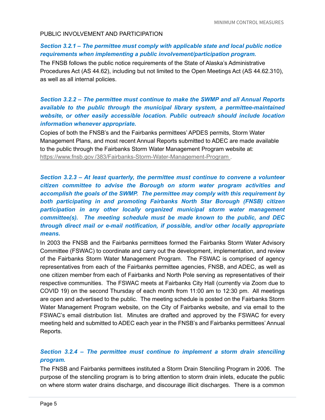#### PUBLIC INVOLVEMENT AND PARTICIPATION

#### *Section 3.2.1 – The permittee must comply with applicable state and local public notice requirements when implementing a public involvement/participation program.*

The FNSB follows the public notice requirements of the State of Alaska's Administrative Procedures Act (AS 44.62), including but not limited to the Open Meetings Act (AS 44.62.310), as well as all internal policies.

## *Section 3.2.2 – The permittee must continue to make the SWMP and all Annual Reports available to the public through the municipal library system, a permittee-maintained website, or other easily accessible location. Public outreach should include location information whenever appropriate.*

Copies of both the FNSB's and the Fairbanks permittees' APDES permits, Storm Water Management Plans, and most recent Annual Reports submitted to ADEC are made available to the public through the Fairbanks Storm Water Management Program website at: https://www.fnsb.gov /383/Fairbanks-Storm-Water-Management-Program .

## *Section 3.2.3 – At least quarterly, the permittee must continue to convene a volunteer citizen committee to advise the Borough on storm water program activities and accomplish the goals of the SWMP. The permittee may comply with this requirement by both participating in and promoting Fairbanks North Star Borough (FNSB) citizen participation in any other locally organized municipal storm water management committee(s). The meeting schedule must be made known to the public, and DEC through direct mail or e-mail notification, if possible, and/or other locally appropriate means.*

In 2003 the FNSB and the Fairbanks permittees formed the Fairbanks Storm Water Advisory Committee (FSWAC) to coordinate and carry out the development, implementation, and review of the Fairbanks Storm Water Management Program. The FSWAC is comprised of agency representatives from each of the Fairbanks permittee agencies, FNSB, and ADEC, as well as one citizen member from each of Fairbanks and North Pole serving as representatives of their respective communities. The FSWAC meets at Fairbanks City Hall (currently via Zoom due to COVID 19) on the second Thursday of each month from 11:00 am to 12:30 pm. All meetings are open and advertised to the public. The meeting schedule is posted on the Fairbanks Storm Water Management Program website, on the City of Fairbanks website, and via email to the FSWAC's email distribution list. Minutes are drafted and approved by the FSWAC for every meeting held and submitted to ADEC each year in the FNSB's and Fairbanks permittees'Annual Reports.

## *Section 3.2.4 – The permittee must continue to implement a storm drain stenciling program.*

The FNSB and Fairbanks permittees instituted a Storm Drain Stenciling Program in 2006. The purpose of the stenciling program is to bring attention to storm drain inlets, educate the public on where storm water drains discharge, and discourage illicit discharges. There is a common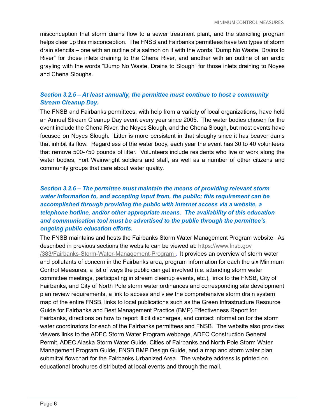misconception that storm drains flow to a sewer treatment plant, and the stenciling program helps clear up this misconception. The FNSB and Fairbanks permittees have two types of storm drain stencils – one with an outline of a salmon on it with the words "Dump No Waste, Drains to River" for those inlets draining to the Chena River, and another with an outline of an arctic grayling with the words "Dump No Waste, Drains to Slough" for those inlets draining to Noyes and Chena Sloughs.

## *Section 3.2.5 – At least annually, the permittee must continue to host a community Stream Cleanup Day.*

The FNSB and Fairbanks permittees, with help from a variety of local organizations, have held an Annual Stream Cleanup Day event every year since 2005. The water bodies chosen for the event include the Chena River, the Noyes Slough, and the Chena Slough, but most events have focused on Noyes Slough. Litter is more persistent in that sloughy since it has beaver dams that inhibit its flow. Regardless of the water body, each year the event has 30 to 40 volunteers that remove 500-750 pounds of litter. Volunteers include residents who live or work along the water bodies, Fort Wainwright soldiers and staff, as well as a number of other citizens and community groups that care about water quality.

## *Section 3.2.6 – The permittee must maintain the means of providing relevant storm water information to, and accepting input from, the public; this requirement can be accomplished through providing the public with internet access via a website, a telephone hotline, and/or other appropriate means. The availability of this education and communication tool must be advertised to the public through the permittee's ongoing public education efforts.*

The FNSB maintains and hosts the Fairbanks Storm Water Management Program website. As described in previous sections the website can be viewed at: https://www.fnsb.gov /383/Fairbanks-Storm-Water-Management-Program . It provides an overview of storm water and pollutants of concern in the Fairbanks area, program information for each the six Minimum Control Measures, a list of ways the public can get involved (i.e. attending storm water committee meetings, participating in stream cleanup events, etc.), links to the FNSB, City of Fairbanks, and City of North Pole storm water ordinances and corresponding site development plan review requirements, a link to access and view the comprehensive storm drain system map of the entire FNSB, links to local publications such as the Green Infrastructure Resource Guide for Fairbanks and Best Management Practice (BMP) Effectiveness Report for Fairbanks, directions on how to report illicit discharges, and contact information for the storm water coordinators for each of the Fairbanks permittees and FNSB. The website also provides viewers links to the ADEC Storm Water Program webpage, ADEC Construction General Permit, ADEC Alaska Storm Water Guide, Cities of Fairbanks and North Pole Storm Water Management Program Guide, FNSB BMP Design Guide, and a map and storm water plan submittal flowchart for the Fairbanks Urbanized Area. The website address is printed on educational brochures distributed at local events and through the mail.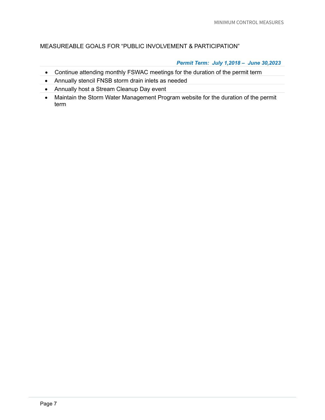## MEASUREABLE GOALS FOR "PUBLIC INVOLVEMENT & PARTICIPATION"

#### *Permit Term: July 1,2018 – June 30,2023*

- Continue attending monthly FSWAC meetings for the duration of the permit term
- Annually stencil FNSB storm drain inlets as needed
- Annually host a Stream Cleanup Day event
- Maintain the Storm Water Management Program website for the duration of the permit term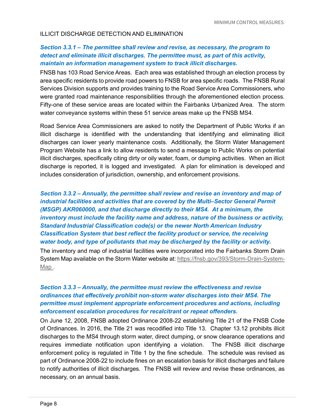#### ILLICIT DISCHARGE DETECTION AND ELIMINATION

## *Section 3.3.1 – The permittee shall review and revise, as necessary, the program to detect and eliminate illicit discharges. The permittee must, as part of this activity, maintain an information management system to track illicit discharges.*

FNSB has 103 Road Service Areas. Each area was established through an election process by area specific residents to provide road powers to FNSB for area specific roads. The FNSB Rural Services Division supports and provides training to the Road Service Area Commissioners, who were granted road maintenance responsibilities through the aforementioned election process. Fifty-one of these service areas are located within the Fairbanks Urbanized Area. The storm water conveyance systems within these 51 service areas make up the FNSB MS4.

Road Service Area Commissioners are asked to notify the Department of Public Works if an illicit discharge is identified with the understanding that identifying and eliminating illicit discharges can lower yearly maintenance costs. Additionally, the Storm Water Management Program Website has a link to allow residents to send a message to Public Works on potential illicit discharges, specifically citing dirty or oily water, foam, or dumping activities. When an illicit discharge is reported, it is logged and investigated. A plan for elimination is developed and includes consideration of jurisdiction, ownership, and enforcement provisions.

*Section 3.3.2 – Annually, the permittee shall review and revise an inventory and map of industrial facilities and activities that are covered by the Multi–Sector General Permit (MSGP) AKR060000, and that discharge directly to their MS4. At a minimum, the inventory must include the facility name and address, nature of the business or activity, Standard Industrial Classification code(s) or the newer North American Industry Classification System that best reflect the facility product or service, the receiving water body, and type of pollutants that may be discharged by the facility or activity.*

The inventory and map of industrial facilities were incorporated into the Fairbanks Storm Drain System Map available on the Storm Water website at: [https://fnsb.gov/393/Storm-Drain-System-](https://fnsb.gov/393/Storm-Drain-System-Map)[Map .](https://fnsb.gov/393/Storm-Drain-System-Map)

## *Section 3.3.3 – Annually, the permittee must review the effectiveness and revise ordinances that effectively prohibit non-storm water discharges into their MS4. The permittee must implement appropriate enforcement procedures and actions, including enforcement escalation procedures for recalcitrant or repeat offenders.*

On June 12, 2008, FNSB adopted Ordinance 2008-22 establishing Title 21 of the FNSB Code of Ordinances. In 2016, the Title 21 was recodified into Title 13. Chapter 13.12 prohibits illicit discharges to the MS4 through storm water, direct dumping, or snow clearance operations and requires immediate notification upon identifying a violation. The FNSB illicit discharge enforcement policy is regulated in Title 1 by the fine schedule. The schedule was revised as part of Ordinance 2008-22 to include fines on an escalation basis for illicit discharges and failure to notify authorities of illicit discharges. The FNSB will review and revise these ordinances, as necessary, on an annual basis.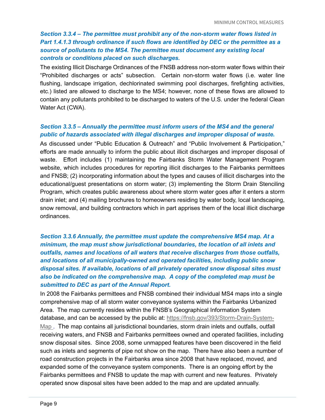## *Section 3.3.4 – The permittee must prohibit any of the non-storm water flows listed in Part 1.4.1.3 through ordinance if such flows are identified by DEC or the permittee as a source of pollutants to the MS4. The permittee must document any existing local controls or conditions placed on such discharges.*

The existing Illicit Discharge Ordinances of the FNSB address non-storm water flows within their "Prohibited discharges or acts" subsection. Certain non-storm water flows (i.e. water line flushing, landscape irrigation, dechlorinated swimming pool discharges, firefighting activities, etc.) listed are allowed to discharge to the MS4; however, none of these flows are allowed to contain any pollutants prohibited to be discharged to waters of the U.S. under the federal Clean Water Act (CWA).

#### *Section 3.3.5 – Annually the permittee must inform users of the MS4 and the general public of hazards associated with illegal discharges and improper disposal of waste.*

As discussed under "Public Education & Outreach" and "Public Involvement & Participation," efforts are made annually to inform the public about illicit discharges and improper disposal of waste. Effort includes (1) maintaining the Fairbanks Storm Water Management Program website, which includes procedures for reporting illicit discharges to the Fairbanks permittees and FNSB; (2) incorporating information about the types and causes of illicit discharges into the educational/guest presentations on storm water; (3) implementing the Storm Drain Stenciling Program, which creates public awareness about where storm water goes after it enters a storm drain inlet; and (4) mailing brochures to homeowners residing by water body, local landscaping, snow removal, and building contractors which in part apprises them of the local illicit discharge ordinances.

## *Section 3.3.6 Annually, the permittee must update the comprehensive MS4 map. At a minimum, the map must show jurisdictional boundaries, the location of all inlets and outfalls, names and locations of all waters that receive discharges from those outfalls, and locations of all municipally-owned and operated facilities, including public snow disposal sites. If available, locations of all privately operated snow disposal sites must also be indicated on the comprehensive map. A copy of the completed map must be submitted to DEC as part of the Annual Report.*

In 2008 the Fairbanks permittees and FNSB combined their individual MS4 maps into a single comprehensive map of all storm water conveyance systems within the Fairbanks Urbanized Area. The map currently resides within the FNSB's Geographical Information System database, and can be accessed by the public at: [https://fnsb.gov/393/Storm-Drain-System-](https://fnsb.gov/393/Storm-Drain-System-Map)Map. The map contains all jurisdictional boundaries, storm drain inlets and outfalls, outfall receiving waters, and FNSB and Fairbanks permittees owned and operated facilities, including snow disposal sites. Since 2008, some unmapped features have been discovered in the field such as inlets and segments of pipe not show on the map. There have also been a number of road construction projects in the Fairbanks area since 2008 that have replaced, moved, and expanded some of the conveyance system components. There is an ongoing effort by the Fairbanks permittees and FNSB to update the map with current and new features. Privately operated snow disposal sites have been added to the map and are updated annually.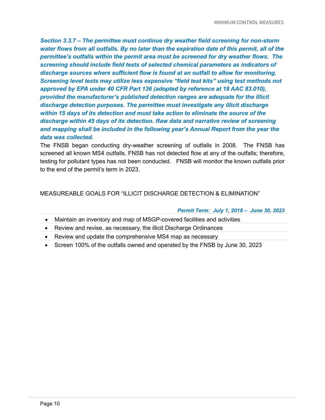*Section 3.3.7 – The permittee must continue dry weather field screening for non-storm water flows from all outfalls. By no later than the expiration date of this permit, all of the permittee's outfalls within the permit area must be screened for dry weather flows. The screening should include field tests of selected chemical parameters as indicators of discharge sources where sufficient flow is found at an outfall to allow for monitoring. Screening level tests may utilize less expensive "field test kits" using test methods not approved by EPA under 40 CFR Part 136 (adopted by reference at 18 AAC 83.010), provided the manufacturer's published detection ranges are adequate for the illicit discharge detection purposes. The permittee must investigate any illicit discharge within 15 days of its detection and must take action to eliminate the source of the discharge within 45 days of its detection. Raw data and narrative review of screening and mapping shall be included in the following year's Annual Report from the year the data was collected.*

The FNSB began conducting dry-weather screening of outfalls in 2008. The FNSB has screened all known MS4 outfalls. FNSB has not detected flow at any of the outfalls; therefore, testing for pollutant types has not been conducted. FNSB will monitor the known outfalls prior to the end of the permit's term in 2023.

## MEASUREABLE GOALS FOR "ILLICIT DISCHARGE DETECTION & ELIMINATION"

#### *Permit Term: July 1, 2018 – June 30, 2023*

- Maintain an inventory and map of MSGP-covered facilities and activities
- Review and revise, as necessary, the illicit Discharge Ordinances
- Review and update the comprehensive MS4 map as necessary
- Screen 100% of the outfalls owned and operated by the FNSB by June 30, 2023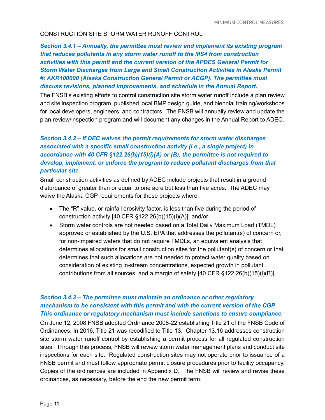#### CONSTRUCTION SITE STORM WATER RUNOFF CONTROL

## *Section 3.4.1 – Annually, the permittee must review and implement its existing program that reduces pollutants in any storm water runoff to the MS4 from construction activities with this permit and the current version of the APDES General Permit for Storm Water Discharges from Large and Small Construction Activities in Alaska Permit #: AKR100000 (Alaska Construction General Permit or ACGP). The permittee must discuss revisions, planned improvements, and schedule in the Annual Report.*

The FNSB's existing efforts to control construction site storm water runoff include a plan review and site inspection program, published local BMP design guide, and biennial training/workshops for local developers, engineers, and contractors. The FNSB will annually review and update the plan review/inspection program and will document any changes in the Annual Report to ADEC.

## *Section 3.4.2 – If DEC waives the permit requirements for storm water discharges associated with a specific small construction activity (i.e., a single project) in accordance with 40 CFR §122.26(b)(15)(i)(A) or (B), the permittee is not required to develop, implement, or enforce the program to reduce pollutant discharges from that particular site.*

Small construction activities as defined by ADEC include projects that result in a ground disturbance of greater than or equal to one acre but less than five acres. The ADEC may waive the Alaska CGP requirements for these projects where:

- The "R" value, or rainfall erosivity factor, is less than five during the period of construction activity [40 CFR §122.26(b)(15)(i)(A)]; and/or
- Storm water controls are not needed based on a Total Daily Maximum Load (TMDL) approved or established by the U.S. EPA that addresses the pollutant(s) of concern or, for non-impaired waters that do not require TMDLs, an equivalent analysis that determines allocations for small construction sites for the pollutant(s) of concern or that determines that such allocations are not needed to protect water quality based on consideration of existing in-stream concentrations, expected growth in pollutant contributions from all sources, and a margin of safety [40 CFR §122.26(b)(15)(i)(B)].

## *Section 3.4.3 – The permittee must maintain an ordinance or other regulatory mechanism to be consistent with this permit and with the current version of the CGP. This ordinance or regulatory mechanism must include sanctions to ensure compliance.*

On June 12, 2008 FNSB adopted Ordinance 2008-22 establishing Title 21 of the FNSB Code of Ordinances. In 2016, Title 21 was recodified to Title 13. Chapter 13.16 addresses construction site storm water runoff control by establishing a permit process for all regulated construction sites. Through this process, FNSB will review storm water management plans and conduct site inspections for each site. Regulated construction sites may not operate prior to issuance of a FNSB permit and must follow appropriate permit closure procedures prior to facility occupancy. Copies of the ordinances are included in Appendix D. The FNSB will review and revise these ordinances, as necessary, before the end the new permit term.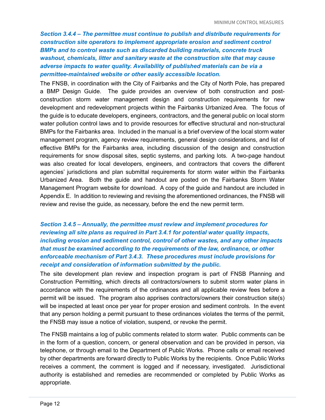*Section 3.4.4 – The permittee must continue to publish and distribute requirements for construction site operators to implement appropriate erosion and sediment control BMPs and to control waste such as discarded building materials, concrete truck washout, chemicals, litter and sanitary waste at the construction site that may cause adverse impacts to water quality. Availability of published materials can be via a permittee-maintained website or other easily accessible location.*

The FNSB, in coordination with the City of Fairbanks and the City of North Pole, has prepared a BMP Design Guide. The guide provides an overview of both construction and postconstruction storm water management design and construction requirements for new development and redevelopment projects within the Fairbanks Urbanized Area. The focus of the guide is to educate developers, engineers, contractors, and the general public on local storm water pollution control laws and to provide resources for effective structural and non-structural BMPs for the Fairbanks area. Included in the manual is a brief overview of the local storm water management program, agency review requirements, general design considerations, and list of effective BMPs for the Fairbanks area, including discussion of the design and construction requirements for snow disposal sites, septic systems, and parking lots. A two-page handout was also created for local developers, engineers, and contractors that covers the different agencies' jurisdictions and plan submittal requirements for storm water within the Fairbanks Urbanized Area. Both the guide and handout are posted on the Fairbanks Storm Water Management Program website for download. A copy of the guide and handout are included in Appendix E. In addition to reviewing and revising the aforementioned ordinances, the FNSB will review and revise the guide, as necessary, before the end the new permit term.

## *Section 3.4.5 – Annually, the permittee must review and implement procedures for reviewing all site plans as required in Part 3.4.1 for potential water quality impacts, including erosion and sediment control, control of other wastes, and any other impacts that must be examined according to the requirements of the law, ordinance, or other enforceable mechanism of Part 3.4.3. These procedures must include provisions for receipt and consideration of information submitted by the public.*

The site development plan review and inspection program is part of FNSB Planning and Construction Permitting, which directs all contractors/owners to submit storm water plans in accordance with the requirements of the ordinances and all applicable review fees before a permit will be issued. The program also apprises contractors/owners their construction site(s) will be inspected at least once per year for proper erosion and sediment controls. In the event that any person holding a permit pursuant to these ordinances violates the terms of the permit, the FNSB may issue a notice of violation, suspend, or revoke the permit.

The FNSB maintains a log of public comments related to storm water. Public comments can be in the form of a question, concern, or general observation and can be provided in person, via telephone, or through email to the Department of Public Works. Phone calls or email received by other departments are forward directly to Public Works by the recipients. Once Public Works receives a comment, the comment is logged and if necessary, investigated. Jurisdictional authority is established and remedies are recommended or completed by Public Works as appropriate.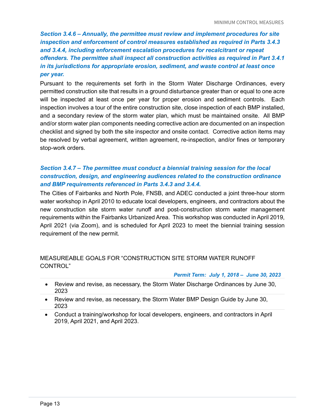*Section 3.4.6 – Annually, the permittee must review and implement procedures for site inspection and enforcement of control measures established as required in Parts 3.4.3 and 3.4.4, including enforcement escalation procedures for recalcitrant or repeat offenders. The permittee shall inspect all construction activities as required in Part 3.4.1 in its jurisdictions for appropriate erosion, sediment, and waste control at least once per year.*

Pursuant to the requirements set forth in the Storm Water Discharge Ordinances, every permitted construction site that results in a ground disturbance greater than or equal to one acre will be inspected at least once per year for proper erosion and sediment controls. Each inspection involves a tour of the entire construction site, close inspection of each BMP installed, and a secondary review of the storm water plan, which must be maintained onsite. All BMP and/or storm water plan components needing corrective action are documented on an inspection checklist and signed by both the site inspector and onsite contact. Corrective action items may be resolved by verbal agreement, written agreement, re-inspection, and/or fines or temporary stop-work orders.

## *Section 3.4.7 – The permittee must conduct a biennial training session for the local construction, design, and engineering audiences related to the construction ordinance and BMP requirements referenced in Parts 3.4.3 and 3.4.4.*

The Cities of Fairbanks and North Pole, FNSB, and ADEC conducted a joint three-hour storm water workshop in April 2010 to educate local developers, engineers, and contractors about the new construction site storm water runoff and post-construction storm water management requirements within the Fairbanks Urbanized Area. This workshop was conducted in April 2019, April 2021 (via Zoom), and is scheduled for April 2023 to meet the biennial training session requirement of the new permit.

## MEASUREABLE GOALS FOR "CONSTRUCTION SITE STORM WATER RUNOFF CONTROL"

*Permit Term: July 1, 2018 – June 30, 2023*

- Review and revise, as necessary, the Storm Water Discharge Ordinances by June 30, 2023
- Review and revise, as necessary, the Storm Water BMP Design Guide by June 30, 2023
- Conduct a training/workshop for local developers, engineers, and contractors in April 2019, April 2021, and April 2023.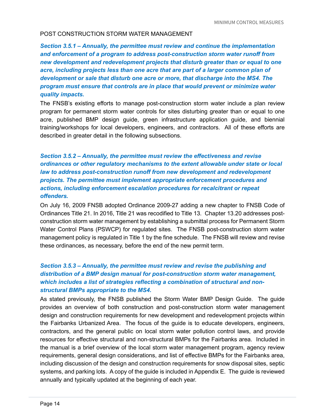#### POST CONSTRUCTION STORM WATER MANAGEMENT

*Section 3.5.1 – Annually, the permittee must review and continue the implementation and enforcement of a program to address post-construction storm water runoff from new development and redevelopment projects that disturb greater than or equal to one acre, including projects less than one acre that are part of a larger common plan of development or sale that disturb one acre or more, that discharge into the MS4. The program must ensure that controls are in place that would prevent or minimize water quality impacts.*

The FNSB's existing efforts to manage post-construction storm water include a plan review program for permanent storm water controls for sites disturbing greater than or equal to one acre, published BMP design guide, green infrastructure application guide, and biennial training/workshops for local developers, engineers, and contractors. All of these efforts are described in greater detail in the following subsections.

## *Section 3.5.2 – Annually, the permittee must review the effectiveness and revise ordinances or other regulatory mechanisms to the extent allowable under state or local law to address post-construction runoff from new development and redevelopment projects. The permittee must implement appropriate enforcement procedures and actions, including enforcement escalation procedures for recalcitrant or repeat offenders.*

On July 16, 2009 FNSB adopted Ordinance 2009-27 adding a new chapter to FNSB Code of Ordinances Title 21. In 2016, Title 21 was recodified to Title 13. Chapter 13.20 addresses postconstruction storm water management by establishing a submittal process for Permanent Storm Water Control Plans (PSWCP) for regulated sites. The FNSB post-construction storm water management policy is regulated in Title 1 by the fine schedule. The FNSB will review and revise these ordinances, as necessary, before the end of the new permit term.

## *Section 3.5.3 – Annually, the permittee must review and revise the publishing and distribution of a BMP design manual for post-construction storm water management, which includes a list of strategies reflecting a combination of structural and nonstructural BMPs appropriate to the MS4.*

As stated previously, the FNSB published the Storm Water BMP Design Guide. The guide provides an overview of both construction and post-construction storm water management design and construction requirements for new development and redevelopment projects within the Fairbanks Urbanized Area. The focus of the guide is to educate developers, engineers, contractors, and the general public on local storm water pollution control laws, and provide resources for effective structural and non-structural BMPs for the Fairbanks area. Included in the manual is a brief overview of the local storm water management program, agency review requirements, general design considerations, and list of effective BMPs for the Fairbanks area, including discussion of the design and construction requirements for snow disposal sites, septic systems, and parking lots. A copy of the guide is included in Appendix E. The guide is reviewed annually and typically updated at the beginning of each year.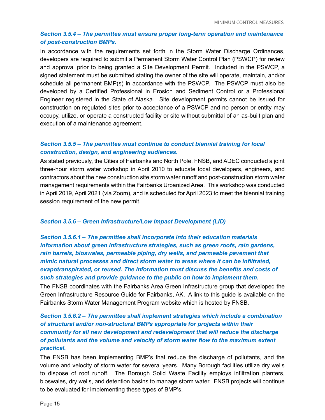## *Section 3.5.4 – The permittee must ensure proper long-term operation and maintenance of post-construction BMPs.*

In accordance with the requirements set forth in the Storm Water Discharge Ordinances, developers are required to submit a Permanent Storm Water Control Plan (PSWCP) for review and approval prior to being granted a Site Development Permit. Included in the PSWCP, a signed statement must be submitted stating the owner of the site will operate, maintain, and/or schedule all permanent BMP(s) in accordance with the PSWCP. The PSWCP must also be developed by a Certified Professional in Erosion and Sediment Control or a Professional Engineer registered in the State of Alaska. Site development permits cannot be issued for construction on regulated sites prior to acceptance of a PSWCP and no person or entity may occupy, utilize, or operate a constructed facility or site without submittal of an as-built plan and execution of a maintenance agreement.

## *Section 3.5.5 – The permittee must continue to conduct biennial training for local construction, design, and engineering audiences.*

As stated previously, the Cities of Fairbanks and North Pole, FNSB, and ADEC conducted a joint three-hour storm water workshop in April 2010 to educate local developers, engineers, and contractors about the new construction site storm water runoff and post-construction storm water management requirements within the Fairbanks Urbanized Area. This workshop was conducted in April 2019, April 2021 (via Zoom), and is scheduled for April 2023 to meet the biennial training session requirement of the new permit.

#### *Section 3.5.6 – Green Infrastructure/Low Impact Development (LID)*

*Section 3.5.6.1 – The permittee shall incorporate into their education materials information about green infrastructure strategies, such as green roofs, rain gardens, rain barrels, bioswales, permeable piping, dry wells, and permeable pavement that mimic natural processes and direct storm water to areas where it can be infiltrated, evapotranspirated, or reused. The information must discuss the benefits and costs of such strategies and provide guidance to the public on how to implement them.*

The FNSB coordinates with the Fairbanks Area Green Infrastructure group that developed the Green Infrastructure Resource Guide for Fairbanks, AK. A link to this guide is available on the Fairbanks Storm Water Management Program website which is hosted by FNSB.

## *Section 3.5.6.2 – The permittee shall implement strategies which include a combination of structural and/or non-structural BMPs appropriate for projects within their community for all new development and redevelopment that will reduce the discharge of pollutants and the volume and velocity of storm water flow to the maximum extent practical.*

The FNSB has been implementing BMP's that reduce the discharge of pollutants, and the volume and velocity of storm water for several years. Many Borough facilities utilize dry wells to dispose of roof runoff. The Borough Solid Waste Facility employs infiltration planters, bioswales, dry wells, and detention basins to manage storm water. FNSB projects will continue to be evaluated for implementing these types of BMP's.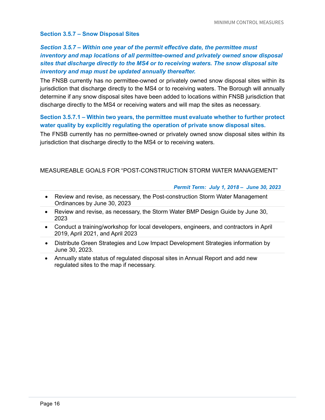#### **Section 3.5.7 – Snow Disposal Sites**

## *Section 3.5.7 – Within one year of the permit effective date, the permittee must inventory and map locations of all permittee-owned and privately owned snow disposal sites that discharge directly to the MS4 or to receiving waters. The snow disposal site inventory and map must be updated annually thereafter.*

The FNSB currently has no permittee-owned or privately owned snow disposal sites within its jurisdiction that discharge directly to the MS4 or to receiving waters. The Borough will annually determine if any snow disposal sites have been added to locations within FNSB jurisdiction that discharge directly to the MS4 or receiving waters and will map the sites as necessary.

## **Section 3.5.7.1 – Within two years, the permittee must evaluate whether to further protect water quality by explicitly regulating the operation of private snow disposal sites.**

The FNSB currently has no permittee-owned or privately owned snow disposal sites within its jurisdiction that discharge directly to the MS4 or to receiving waters.

#### MEASUREABLE GOALS FOR "POST-CONSTRUCTION STORM WATER MANAGEMENT"

#### *Permit Term: July 1, 2018 – June 30, 2023*

- Review and revise, as necessary, the Post-construction Storm Water Management Ordinances by June 30, 2023
- Review and revise, as necessary, the Storm Water BMP Design Guide by June 30, 2023
- Conduct a training/workshop for local developers, engineers, and contractors in April 2019, April 2021, and April 2023
- Distribute Green Strategies and Low Impact Development Strategies information by June 30, 2023.
- Annually state status of regulated disposal sites in Annual Report and add new regulated sites to the map if necessary.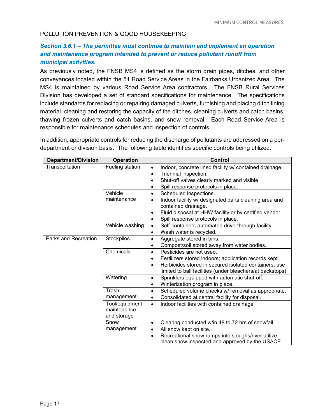#### POLLUTION PREVENTION & GOOD HOUSEKEEPING

## *Section 3.6.1 – The permittee must continue to maintain and implement an operation and maintenance program intended to prevent or reduce pollutant runoff from municipal activities.*

As previously noted, the FNSB MS4 is defined as the storm drain pipes, ditches, and other conveyances located within the 51 Road Service Areas in the Fairbanks Urbanized Area. The MS4 is maintained by various Road Service Area contractors. The FNSB Rural Services Division has developed a set of standard specifications for maintenance. The specifications include standards for replacing or repairing damaged culverts, furnishing and placing ditch lining material, cleaning and restoring the capacity of the ditches, cleaning culverts and catch basins, thawing frozen culverts and catch basins, and snow removal. Each Road Service Area is responsible for maintenance schedules and inspection of controls.

In addition, appropriate controls for reducing the discharge of pollutants are addressed on a perdepartment or division basis. The following table identifies specific controls being utilized.

| <b>Department/Division</b> | <b>Operation</b>                             | <b>Control</b>                                                                                                                                                                                                                                |
|----------------------------|----------------------------------------------|-----------------------------------------------------------------------------------------------------------------------------------------------------------------------------------------------------------------------------------------------|
| Transportation             | Fueling station                              | Indoor, concrete lined facility w/ contained drainage.<br>$\bullet$<br>Triennial inspection.<br>Shut-off valves clearly marked and visible.<br>Spill response protocols in place.                                                             |
|                            | Vehicle<br>maintenance                       | Scheduled inspections.<br>$\bullet$<br>Indoor facility w/ designated parts cleaning area and<br>$\bullet$<br>contained drainage.<br>Fluid disposal at HHW facility or by certified vendor.<br>$\bullet$<br>Spill response protocols in place. |
|                            | Vehicle washing                              | Self-contained, automated drive-through facility.<br>$\bullet$<br>Wash water is recycled.<br>٠                                                                                                                                                |
| Parks and Recreation       | Stockpiles                                   | Aggregate stored in bins.<br>$\bullet$<br>Compost/soil stored away from water bodies.<br>$\bullet$                                                                                                                                            |
|                            | Chemicals                                    | Pesticides are not used.<br>$\bullet$<br>Fertilizers stored indoors; application records kept.<br>$\bullet$<br>Herbicides stored in secured isolated containers; use<br>limited to ball facilities (under bleachers/at backstops)             |
|                            | Watering                                     | Sprinklers equipped with automatic shut-off.<br>$\bullet$<br>Winterization program in place.                                                                                                                                                  |
|                            | Trash<br>management                          | Scheduled volume checks w/ removal as appropriate.<br>$\bullet$<br>Consolidated at central facility for disposal.<br>٠                                                                                                                        |
|                            | Tool/equipment<br>maintenance<br>and storage | Indoor facilities with contained drainage.<br>$\bullet$                                                                                                                                                                                       |
|                            | Snow<br>management                           | Clearing conducted w/in 48 to 72 hrs of snowfall.<br>$\bullet$<br>All snow kept on site.<br>$\bullet$<br>Recreational snow ramps into sloughs/river utilize<br>clean snow inspected and approved by the USACE.                                |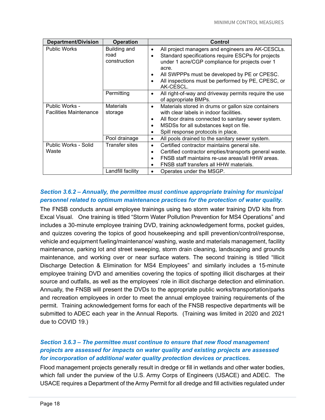| <b>Department/Division</b>                      | <b>Operation</b>                     | Control                                                                                                                                                                                                                                                                                |
|-------------------------------------------------|--------------------------------------|----------------------------------------------------------------------------------------------------------------------------------------------------------------------------------------------------------------------------------------------------------------------------------------|
| <b>Public Works</b>                             | Building and<br>road<br>construction | All project managers and engineers are AK-CESCLs.<br>Standard specifications require ESCPs for projects<br>under 1 acre/CGP compliance for projects over 1<br>acre.<br>All SWPPPs must be developed by PE or CPESC.<br>All inspections must be performed by PE, CPESC, or<br>AK-CESCL. |
|                                                 | Permitting                           | All right-of-way and driveway permits require the use<br>٠<br>of appropriate BMPs.                                                                                                                                                                                                     |
| Public Works -<br><b>Facilities Maintenance</b> | <b>Materials</b><br>storage          | Materials stored in drums or gallon size containers<br>$\bullet$<br>with clear labels in indoor facilities.<br>All floor drains connected to sanitary sewer system.<br>MSDSs for all substances kept on file.<br>Spill response protocols in place.                                    |
|                                                 | Pool drainage                        | All pools drained to the sanitary sewer system.                                                                                                                                                                                                                                        |
| Public Works - Solid<br>Waste                   | Transfer sites                       | Certified contractor maintains general site.<br>$\bullet$<br>Certified contractor empties/transports general waste.<br>$\bullet$<br>FNSB staff maintains re-use areas/all HHW areas.<br>FNSB staff transfers all HHW materials.                                                        |
|                                                 | Landfill facility                    | Operates under the MSGP.                                                                                                                                                                                                                                                               |

## *Section 3.6.2 – Annually, the permittee must continue appropriate training for municipal personnel related to optimum maintenance practices for the protection of water quality.*

The FNSB conducts annual employee trainings using two storm water training DVD kits from Excal Visual. One training is titled "Storm Water Pollution Prevention for MS4 Operations" and includes a 30-minute employee training DVD, training acknowledgement forms, pocket guides, and quizzes covering the topics of good housekeeping and spill prevention/control/response, vehicle and equipment fueling/maintenance/ washing, waste and materials management, facility maintenance, parking lot and street sweeping, storm drain cleaning, landscaping and grounds maintenance, and working over or near surface waters. The second training is titled "Illicit Discharge Detection & Elimination for MS4 Employees" and similarly includes a 15-minute employee training DVD and amenities covering the topics of spotting illicit discharges at their source and outfalls, as well as the employees' role in illicit discharge detection and elimination. Annually, the FNSB will present the DVDs to the appropriate public works/transportation/parks and recreation employees in order to meet the annual employee training requirements of the permit. Training acknowledgement forms for each of the FNSB respective departments will be submitted to ADEC each year in the Annual Reports. (Training was limited in 2020 and 2021 due to COVID 19.)

## *Section 3.6.3 – The permittee must continue to ensure that new flood management projects are assessed for impacts on water quality and existing projects are assessed for incorporation of additional water quality protection devices or practices.*

Flood management projects generally result in dredge or fill in wetlands and other water bodies, which fall under the purview of the U.S. Army Corps of Engineers (USACE) and ADEC. The USACE requires a Department of the Army Permit for all dredge and fill activities regulated under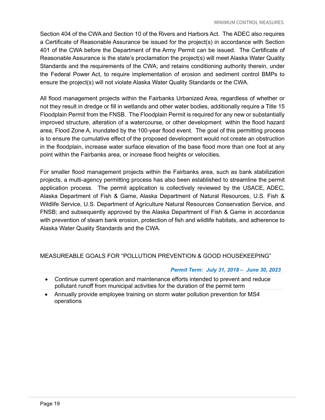Section 404 of the CWA and Section 10 of the Rivers and Harbors Act. The ADEC also requires a Certificate of Reasonable Assurance be issued for the project(s) in accordance with Section 401 of the CWA before the Department of the Army Permit can be issued. The Certificate of Reasonable Assurance is the state's proclamation the project(s) will meet Alaska Water Quality Standards and the requirements of the CWA; and retains conditioning authority therein, under the Federal Power Act, to require implementation of erosion and sediment control BMPs to ensure the project(s) will not violate Alaska Water Quality Standards or the CWA.

All flood management projects within the Fairbanks Urbanized Area, regardless of whether or not they result in dredge or fill in wetlands and other water bodies, additionally require a Title 15 Floodplain Permit from the FNSB. The Floodplain Permit is required for any new or substantially improved structure, alteration of a watercourse, or other development within the flood hazard area, Flood Zone A, inundated by the 100-year flood event. The goal of this permitting process is to ensure the cumulative effect of the proposed development would not create an obstruction in the floodplain, increase water surface elevation of the base flood more than one foot at any point within the Fairbanks area, or increase flood heights or velocities.

For smaller flood management projects within the Fairbanks area, such as bank stabilization projects, a multi-agency permitting process has also been established to streamline the permit application process. The permit application is collectively reviewed by the USACE, ADEC, Alaska Department of Fish & Game, Alaska Department of Natural Resources, U.S. Fish & Wildlife Service, U.S. Department of Agriculture Natural Resources Conservation Service, and FNSB; and subsequently approved by the Alaska Department of Fish & Game in accordance with prevention of steam bank erosion, protection of fish and wildlife habitats, and adherence to Alaska Water Quality Standards and the CWA.

## MEASUREABLE GOALS FOR "POLLUTION PREVENTION & GOOD HOUSEKEEPING"

#### *Permit Term: July 31, 2018 – June 30, 2023*

- Continue current operation and maintenance efforts intended to prevent and reduce pollutant runoff from municipal activities for the duration of the permit term
- Annually provide employee training on storm water pollution prevention for MS4 operations